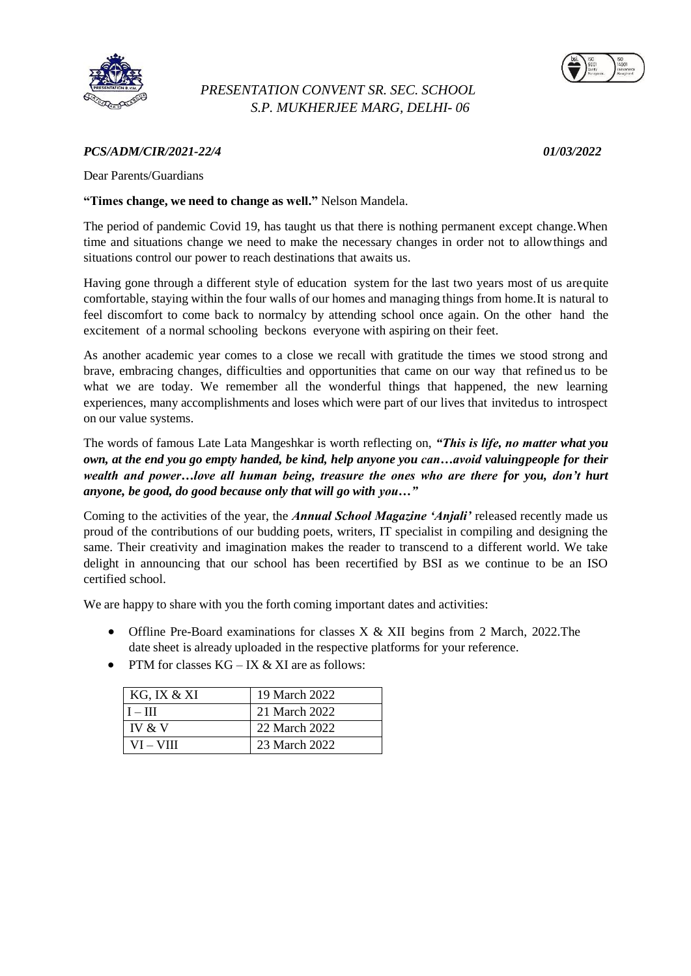

## *PRESENTATION CONVENT SR. SEC. SCHOOL S.P. MUKHERJEE MARG, DELHI- 06*



## *PCS/ADM/CIR/2021-22/4 01/03/2022*

Dear Parents/Guardians

## **"Times change, we need to change as well."** Nelson Mandela.

The period of pandemic Covid 19, has taught us that there is nothing permanent except change.When time and situations change we need to make the necessary changes in order not to allowthings and situations control our power to reach destinations that awaits us.

Having gone through a different style of education system for the last two years most of us arequite comfortable, staying within the four walls of our homes and managing things from home.It is natural to feel discomfort to come back to normalcy by attending school once again. On the other hand the excitement of a normal schooling beckons everyone with aspiring on their feet.

As another academic year comes to a close we recall with gratitude the times we stood strong and brave, embracing changes, difficulties and opportunities that came on our way that refined us to be what we are today. We remember all the wonderful things that happened, the new learning experiences, many accomplishments and loses which were part of our lives that invitedus to introspect on our value systems.

The words of famous Late Lata Mangeshkar is worth reflecting on, *"This is life, no matter what you own, at the end you go empty handed, be kind, help anyone you can…avoid valuingpeople for their wealth and power…love all human being, treasure the ones who are there for you, don"t hurt anyone, be good, do good because only that will go with you…"*

Coming to the activities of the year, the *Annual School Magazine "Anjali"* released recently made us proud of the contributions of our budding poets, writers, IT specialist in compiling and designing the same. Their creativity and imagination makes the reader to transcend to a different world. We take delight in announcing that our school has been recertified by BSI as we continue to be an ISO certified school.

We are happy to share with you the forth coming important dates and activities:

- Offline Pre-Board examinations for classes X & XII begins from 2 March, 2022. The date sheet is already uploaded in the respective platforms for your reference.
- PTM for classes  $KG IX & XI$  are as follows:

| KG, IX & XI      | 19 March 2022 |
|------------------|---------------|
| $I - III$        | 21 March 2022 |
| $\mathbf{V}$ & V | 22 March 2022 |
| VI – VIII        | 23 March 2022 |